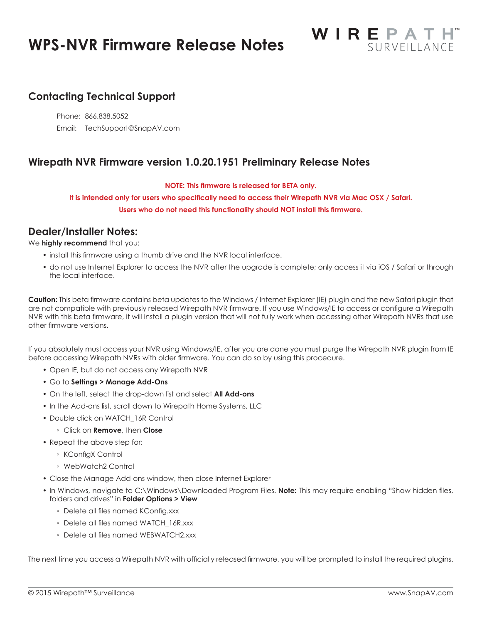# **WPS-NVR Firmware Release Notes**



# **Contacting Technical Support**

Phone: 866.838.5052 Email: TechSupport@SnapAV.com

## **Wirepath NVR Firmware version 1.0.20.1951 Preliminary Release Notes**

#### **NOTE: This firmware is released for BETA only.**

**It is intended only for users who specifically need to access their Wirepath NVR via Mac OSX / Safari. Users who do not need this functionality should NOT install this firmware.**

### **Dealer/Installer Notes:**

We **highly recommend** that you:

- install this firmware using a thumb drive and the NVR local interface.
- do not use Internet Explorer to access the NVR after the upgrade is complete; only access it via iOS / Safari or through the local interface.

**Caution:** This beta firmware contains beta updates to the Windows / Internet Explorer (IE) plugin and the new Safari plugin that are not compatible with previously released Wirepath NVR firmware. If you use Windows/IE to access or configure a Wirepath NVR with this beta firmware, it will install a plugin version that will not fully work when accessing other Wirepath NVRs that use other firmware versions.

If you absolutely must access your NVR using Windows/IE, after you are done you must purge the Wirepath NVR plugin from IE before accessing Wirepath NVRs with older firmware. You can do so by using this procedure.

- Open IE, but do not access any Wirepath NVR
- Go to **Settings > Manage Add-Ons**
- On the left, select the drop-down list and select **All Add-ons**
- In the Add-ons list, scroll down to Wirepath Home Systems, LLC
- Double click on WATCH\_16R Control
	- Click on **Remove**, then **Close**
- Repeat the above step for:
	- KConfigX Control
	- WebWatch2 Control
- Close the Manage Add-ons window, then close Internet Explorer
- In Windows, navigate to C:\Windows\Downloaded Program Files. **Note:** This may require enabling "Show hidden files, folders and drives" in **Folder Options > View**
	- Delete all files named KConfig.xxx
	- Delete all files named WATCH\_16R.xxx
	- Delete all files named WEBWATCH2.xxx

The next time you access a Wirepath NVR with officially released firmware, you will be prompted to install the required plugins.